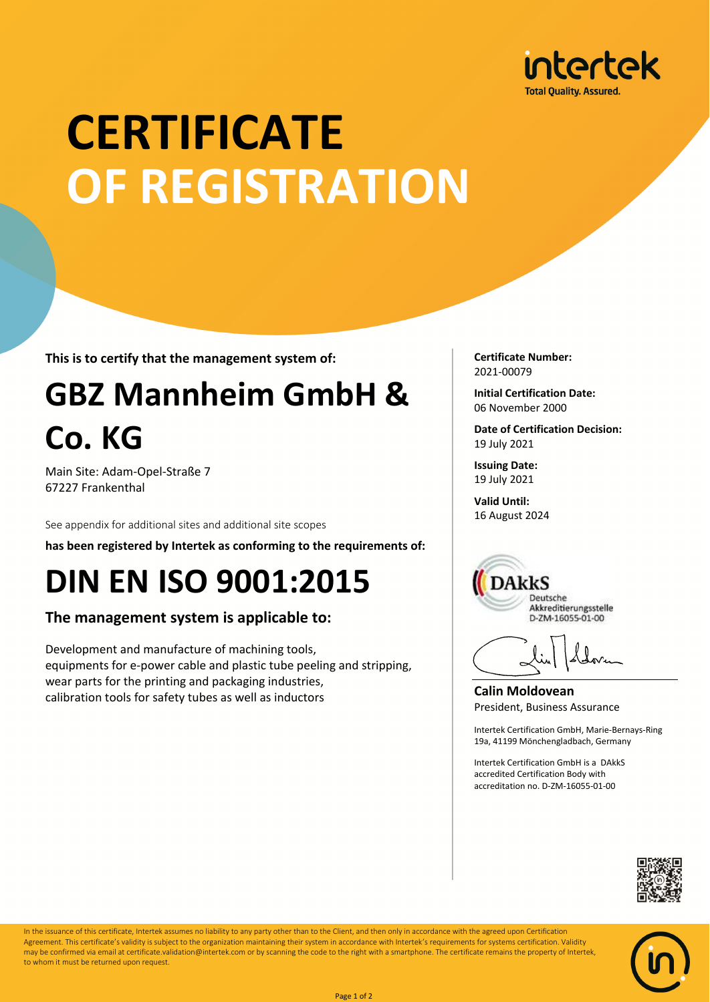

# **CERTIFICATE OF REGISTRATION**

**This is to certify that the management system of:**

## **GBZ Mannheim GmbH & Co. KG**

Main Site: Adam-Opel-Straße 7 67227 Frankenthal

See appendix for additional sites and additional site scopes

**has been registered by Intertek as conforming to the requirements of:**

### **DIN EN ISO 9001:2015**

#### **The management system is applicable to:**

Development and manufacture of machining tools, equipments for e-power cable and plastic tube peeling and stripping, wear parts for the printing and packaging industries, calibration tools for safety tubes as well as inductors

**Certificate Number:** 2021-00079

**Initial Certification Date:** 06 November 2000

**Date of Certification Decision:** 19 July 2021

**Issuing Date:** 19 July 2021

**Valid Until:** 16 August 2024



**Calin Moldovean** President, Business Assurance

Intertek Certification GmbH, Marie-Bernays-Ring 19a, 41199 Mönchengladbach, Germany

Intertek Certification GmbH is a DAkkS accredited Certification Body with accreditation no. D-ZM-16055-01-00





In the issuance of this certificate, Intertek assumes no liability to any party other than to the Client, and then only in accordance with the agreed upon Certification Agreement. This certificate's validity is subject to the organization maintaining their system in accordance with Intertek's requirements for systems certification. Validity may be confirmed via email at certificate.validation@intertek.com or by scanning the code to the right with a smartphone. The certificate remains the property of Intertek, to whom it must be returned upon request.